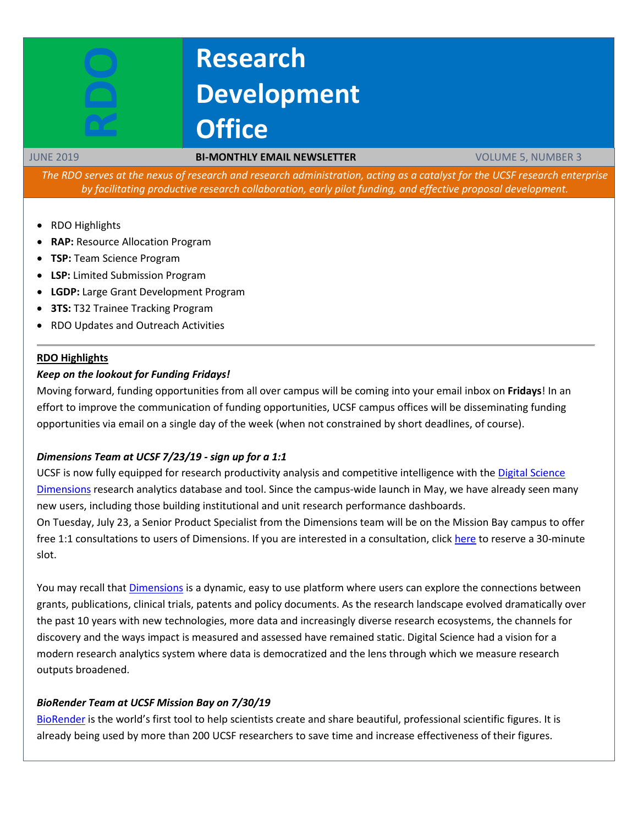# **Research Development Office**

#### JUNE 2019 **BI-MONTHLY EMAIL NEWSLETTER** VOLUME 5, NUMBER 3

The RDO serves at the nexus of research and research administration, acting as a catalyst for the UCSF research enterprise *by facilitating productive research collaboration, early pilot funding, and effective proposal development.*

- RDO Highlights
- **RAP:** Resource Allocation Program
- **TSP:** Team Science Program
- **LSP:** Limited Submission Program
- **LGDP:** Large Grant Development Program
- **3TS:** T32 Trainee Tracking Program
- RDO Updates and Outreach Activities

#### **RDO Highlights**

#### *Keep on the lookout for Funding Fridays!*

Moving forward, funding opportunities from all over campus will be coming into your email inbox on **Fridays**! In an effort to improve the communication of funding opportunities, UCSF campus offices will be disseminating funding opportunities via email on a single day of the week (when not constrained by short deadlines, of course).

### *Dimensions Team at UCSF 7/23/19 - sign up for a 1:1*

UCSF is now fully equipped for research productivity analysis and competitive intelligence with the [Digital Science](https://rdo.ucsf.edu/sites/rdo.ucsf.edu/files/Research%20Analytics%20Tool%20Dimensions.pdf)  [Dimensions](https://rdo.ucsf.edu/sites/rdo.ucsf.edu/files/Research%20Analytics%20Tool%20Dimensions.pdf) research analytics database and tool. Since the campus-wide launch in May, we have already seen many new users, including those building institutional and unit research performance dashboards.

On Tuesday, July 23, a Senior Product Specialist from the Dimensions team will be on the Mission Bay campus to offer free 1:1 consultations to users of Dimensions. If you are interested in a consultation, click [here](https://www.signupgenius.com/go/30e044babac2fa3f85-dimensions) to reserve a 30-minute slot.

You may recall that *Dimensions* is a dynamic, easy to use platform where users can explore the connections between grants, publications, clinical trials, patents and policy documents. As the research landscape evolved dramatically over the past 10 years with new technologies, more data and increasingly diverse research ecosystems, the channels for discovery and the ways impact is measured and assessed have remained static. Digital Science had a vision for a modern research analytics system where data is democratized and the lens through which we measure research outputs broadened.

### *BioRender Team at UCSF Mission Bay on 7/30/19*

[BioRender](https://biorender.com/) is the world's first tool to help scientists create and share beautiful, professional scientific figures. It is already being used by more than 200 UCSF researchers to save time and increase effectiveness of their figures.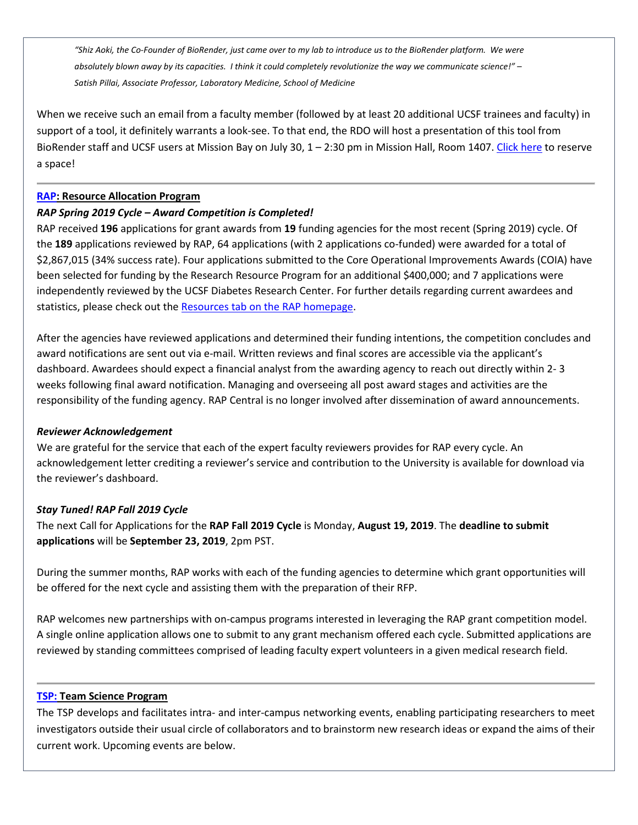*"Shiz Aoki, the Co-Founder of BioRender, just came over to my lab to introduce us to the BioRender platform. We were absolutely blown away by its capacities. I think it could completely revolutionize the way we communicate science!" – Satish Pillai, Associate Professor, Laboratory Medicine, School of Medicine*

When we receive such an email from a faculty member (followed by at least 20 additional UCSF trainees and faculty) in support of a tool, it definitely warrants a look-see. To that end, the RDO will host a presentation of this tool from BioRender staff and UCSF users at Mission Bay on July 30, 1 – 2:30 pm in Mission Hall, Room 1407. [Click here](https://www.eventbrite.com/e/introduction-to-science-illustration-tool-biorender-tickets-64586161949) to reserve a space!

# **[RAP:](https://rap.ucsf.edu/) Resource Allocation Program**

# *RAP Spring 2019 Cycle – Award Competition is Completed!*

RAP received **196** applications for grant awards from **19** funding agencies for the most recent (Spring 2019) cycle. Of the **189** applications reviewed by RAP, 64 applications (with 2 applications co-funded) were awarded for a total of \$2,867,015 (34% success rate). Four applications submitted to the Core Operational Improvements Awards (COIA) have been selected for funding by the Research Resource Program for an additional \$400,000; and 7 applications were independently reviewed by the UCSF Diabetes Research Center. For further details regarding current awardees and statistics, please check out the [Resources tab on the](https://rap.ucsf.edu/resources) RAP homepage.

After the agencies have reviewed applications and determined their funding intentions, the competition concludes and award notifications are sent out via e-mail. Written reviews and final scores are accessible via the applicant's dashboard. Awardees should expect a financial analyst from the awarding agency to reach out directly within 2- 3 weeks following final award notification. Managing and overseeing all post award stages and activities are the responsibility of the funding agency. RAP Central is no longer involved after dissemination of award announcements.

### *Reviewer Acknowledgement*

We are grateful for the service that each of the expert faculty reviewers provides for RAP every cycle. An acknowledgement letter crediting a reviewer's service and contribution to the University is available for download via the reviewer's dashboard.

# *Stay Tuned! RAP Fall 2019 Cycle*

The next Call for Applications for the **RAP Fall 2019 Cycle** is Monday, **August 19, 2019**. The **deadline to submit applications** will be **September 23, 2019**, 2pm PST.

During the summer months, RAP works with each of the funding agencies to determine which grant opportunities will be offered for the next cycle and assisting them with the preparation of their RFP.

RAP welcomes new partnerships with on-campus programs interested in leveraging the RAP grant competition model. A single online application allows one to submit to any grant mechanism offered each cycle. Submitted applications are reviewed by standing committees comprised of leading faculty expert volunteers in a given medical research field.

### **[TSP:](http://rdo.ucsf.edu/team-science-research-innovation-program-tsrip) Team Science Program**

The TSP develops and facilitates intra- and inter-campus networking events, enabling participating researchers to meet investigators outside their usual circle of collaborators and to brainstorm new research ideas or expand the aims of their current work. Upcoming events are below.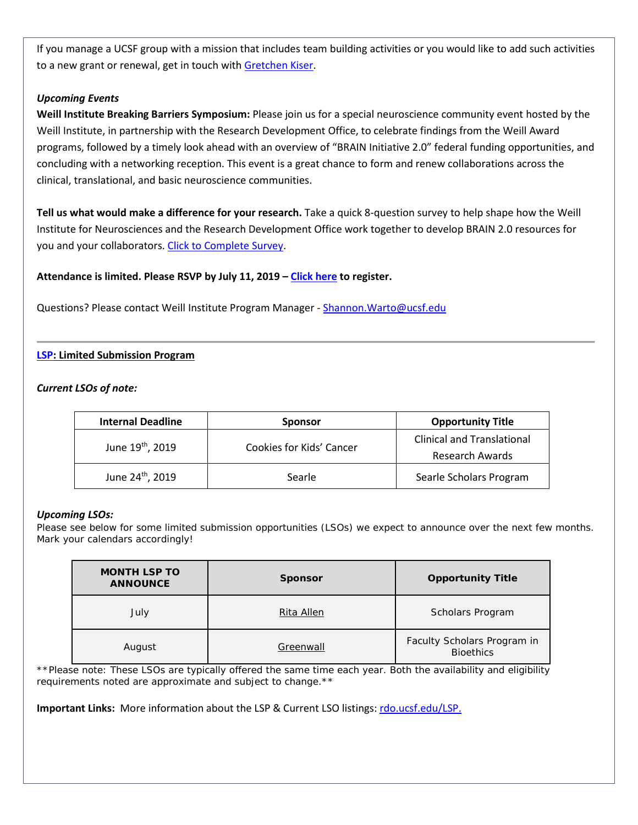If you manage a UCSF group with a mission that includes team building activities or you would like to add such activities to a new grant or renewal, get in touch with [Gretchen Kiser.](mailto:gretchen.kiser@ucsf.edu?subject=TSP%20inquiry)

# *Upcoming Events*

**Weill Institute Breaking Barriers Symposium:** Please join us for a special neuroscience community event hosted by the Weill Institute, in partnership with the Research Development Office, to celebrate findings from the Weill Award programs, followed by a timely look ahead with an overview of "BRAIN Initiative 2.0" federal funding opportunities, and concluding with a networking reception. This event is a great chance to form and renew collaborations across the clinical, translational, and basic neuroscience communities.

**Tell us what would make a difference for your research.** Take a quick 8-question survey to help shape how the Weill Institute for Neurosciences and the Research Development Office work together to develop BRAIN 2.0 resources for you and your collaborators. [Click to Complete Survey.](https://ucsf.co1.qualtrics.com/jfe/form/SV_5sBkSM6WoUggdSd)

# **Attendance is limited. Please RSVP by July 11, 2019 – [Click here](https://www.eventbrite.com/e/breaking-barriers-tickets-60139992336) to register.**

Questions? Please contact Weill Institute Program Manager - Shannon. Warto@ucsf.edu

# **[LSP:](http://rdo.ucsf.edu/limited-submission-program-lsp) Limited Submission Program**

### *Current LSOs of note:*

| <b>Internal Deadline</b>     | <b>Sponsor</b>           | <b>Opportunity Title</b>                                    |
|------------------------------|--------------------------|-------------------------------------------------------------|
| June 19 <sup>th</sup> , 2019 | Cookies for Kids' Cancer | <b>Clinical and Translational</b><br><b>Research Awards</b> |
| June 24 <sup>th</sup> , 2019 | Searle                   | Searle Scholars Program                                     |

### *Upcoming LSOs:*

Please see below for some limited submission opportunities (LSOs) we expect to announce over the next few months. Mark your calendars accordingly!

| <b>MONTH LSP TO</b><br><b>ANNOUNCE</b> | <b>Sponsor</b> | <b>Opportunity Title</b>                        |
|----------------------------------------|----------------|-------------------------------------------------|
| July                                   | Rita Allen     | Scholars Program                                |
| August                                 | Greenwall      | Faculty Scholars Program in<br><b>Bioethics</b> |

\*\*Please note: These LSOs are typically offered the same time each year. Both the availability and eligibility *requirements noted are approximate and subject to change.\*\**

**Important Links:** More information about the LSP & Current LSO listings: [rdo.ucsf.edu/LSP.](http://rdo.ucsf.edu/limited-submission-program-lsp)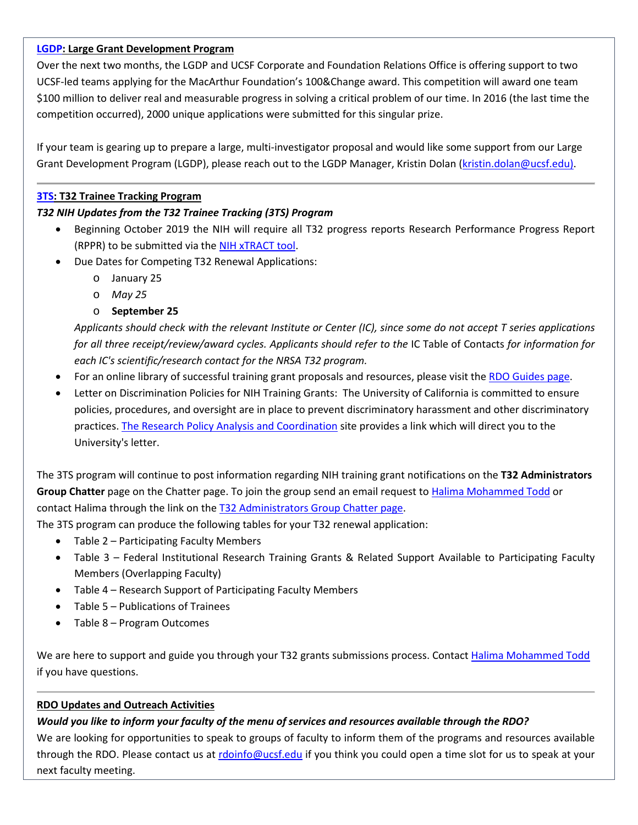# **[LGDP:](http://rdo.ucsf.edu/large-grant-development-program-lgdp) Large Grant Development Program**

Over the next two months, the LGDP and UCSF Corporate and Foundation Relations Office is offering support to two UCSF-led teams applying for the MacArthur Foundation's 100&Change award. This competition will award one team \$100 million to deliver real and measurable progress in solving a critical problem of our time. In 2016 (the last time the competition occurred), 2000 unique applications were submitted for this singular prize.

If your team is gearing up to prepare a large, multi-investigator proposal and would like some support from our Large Grant Development Program (LGDP), please reach out to the LGDP Manager, Kristin Dolan [\(kristin.dolan@ucsf.edu\)](mailto:kristin.dolan@ucsf.edu).

# **[3TS:](https://accelerate.ucsf.edu/training/t32-resources#tracking) T32 Trainee Tracking Program**

# *T32 NIH Updates from the T32 Trainee Tracking (3TS) Program*

- Beginning October 2019 the NIH will require all T32 progress reports Research Performance Progress Report (RPPR) to be submitted via the [NIH xTRACT](https://grants.nih.gov/grants/guide/notice-files/NOT-OD-18-133.html) tool.
- Due Dates for Competing T32 Renewal Applications:
	- o January 25
	- o *May 25*
	- o **September 25**

*Applicants should check with the relevant Institute or Center (IC), since some do not accept T series applications for all three receipt/review/award cycles. Applicants should refer to the IC Table of Contacts for information for each IC's scientific/research contact for the NRSA T32 program.*

- For an online library of successful training grant proposals and resources, please visit the [RDO Guides page.](https://guides.ucsf.edu/rdo/traininggrants)
- Letter on Discrimination Policies for NIH Training Grants: The University of California is committed to ensure policies, procedures, and oversight are in place to prevent discriminatory harassment and other discriminatory practices[. The Research Policy Analysis and Coordination](https://www.ucop.edu/research-policy-analysis-coordination/policies-guidance/discrimination-sexual-violence-and-harassment/index.html) site provides a link which will direct you to the University's letter.

The 3TS program will continue to post information regarding NIH training grant notifications on the **T32 Administrators Group Chatter** page on the Chatter page. To join the group send an email request to [Halima Mohammed Todd](mailto:Halima.Mohammed@ucsf.edu) or contact Halima through the link on the T32 [Administrators](https://ucsf.my.salesforce.com/_ui/core/chatter/groups/GroupProfilePage?g=0F9A00000004SyW) Group Chatter page.

The 3TS program can produce the following tables for your T32 renewal application:

- Table 2 Participating Faculty Members
- Table 3 Federal Institutional Research Training Grants & Related Support Available to Participating Faculty Members (Overlapping Faculty)
- Table 4 Research Support of Participating Faculty Members
- Table 5 Publications of Trainees
- Table 8 Program Outcomes

We are here to support and guide you through your T32 grants submissions process. Contact [Halima Mohammed Todd](mailto:Halima.Mohammed@ucsf.edu) if you have questions.

# **RDO Updates and Outreach Activities**

# Would you like to inform your faculty of the menu of services and resources available through the RDO?

We are looking for opportunities to speak to groups of faculty to inform them of the programs and resources available through the RDO. Please contact us at [rdoinfo@ucsf.edu](mailto:rdoinfo@ucsf.edu) if you think you could open a time slot for us to speak at your next faculty meeting.